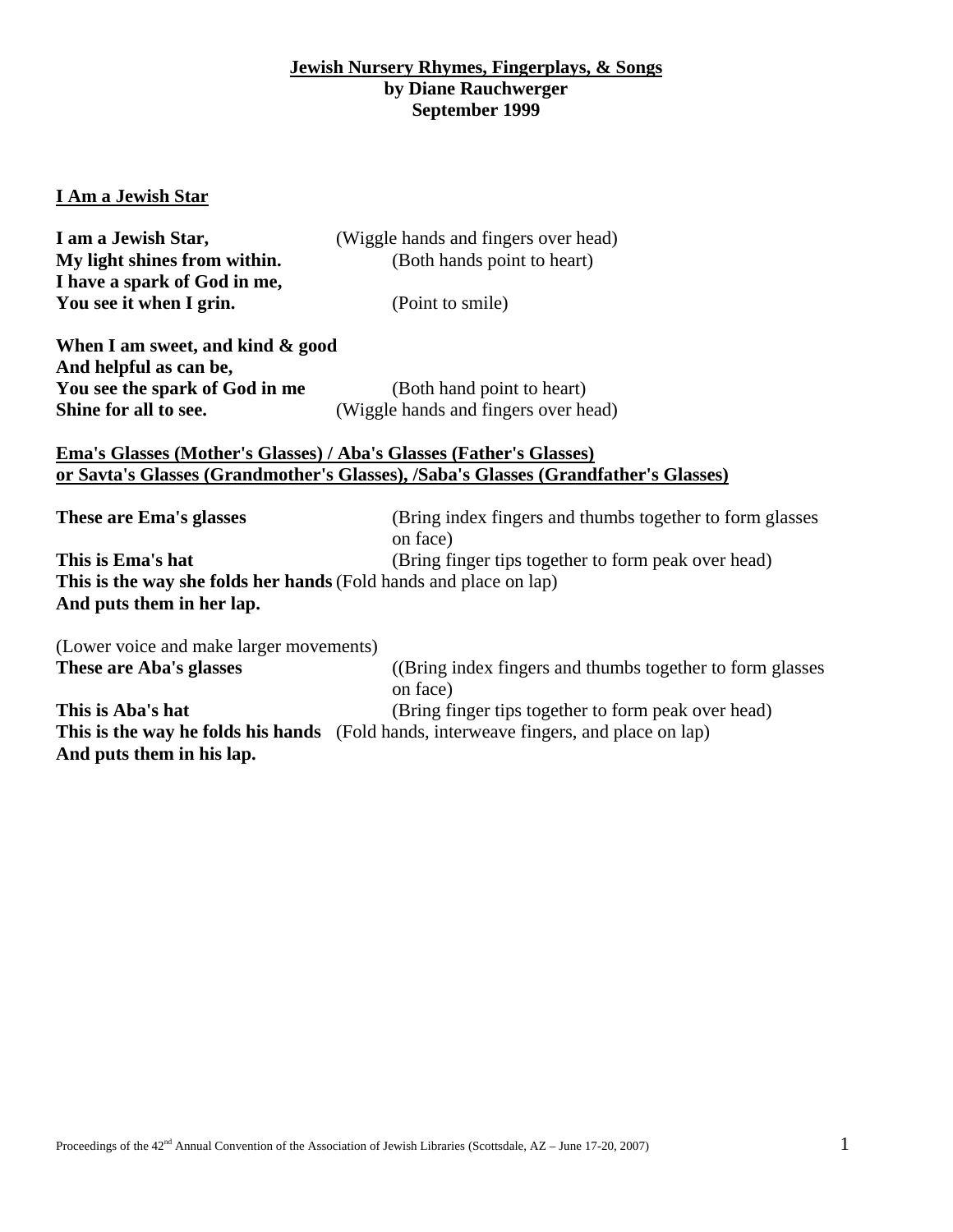# **Jewish Nursery Rhymes, Fingerplays, & Songs by Diane Rauchwerger September 1999**

# **I Am a Jewish Star**

| I am a Jewish Star,                                                        | (Wiggle hands and fingers over head)                                                  |  |
|----------------------------------------------------------------------------|---------------------------------------------------------------------------------------|--|
| My light shines from within.                                               | (Both hands point to heart)                                                           |  |
| I have a spark of God in me,                                               |                                                                                       |  |
| You see it when I grin.                                                    | (Point to smile)                                                                      |  |
| When I am sweet, and kind & good                                           |                                                                                       |  |
| And helpful as can be,                                                     |                                                                                       |  |
| You see the spark of God in me                                             | (Both hand point to heart)                                                            |  |
| Shine for all to see.                                                      | (Wiggle hands and fingers over head)                                                  |  |
|                                                                            |                                                                                       |  |
| <b>Ema's Glasses (Mother's Glasses) / Aba's Glasses (Father's Glasses)</b> |                                                                                       |  |
|                                                                            | or Savta's Glasses (Grandmother's Glasses), /Saba's Glasses (Grandfather's Glasses)   |  |
|                                                                            |                                                                                       |  |
| These are Ema's glasses                                                    | (Bring index fingers and thumbs together to form glasses<br>on face)                  |  |
| This is Ema's hat                                                          |                                                                                       |  |
|                                                                            | (Bring finger tips together to form peak over head)                                   |  |
| This is the way she folds her hands (Fold hands and place on lap)          |                                                                                       |  |
| And puts them in her lap.                                                  |                                                                                       |  |
| (Lower voice and make larger movements)                                    |                                                                                       |  |
| These are Aba's glasses                                                    | (Bring index fingers and thumbs together to form glasses)                             |  |
|                                                                            | on face)                                                                              |  |
| This is Aba's hat                                                          | (Bring finger tips together to form peak over head)                                   |  |
|                                                                            | This is the way he folds his hands (Fold hands, interweave fingers, and place on lap) |  |
| And puts them in his lap.                                                  |                                                                                       |  |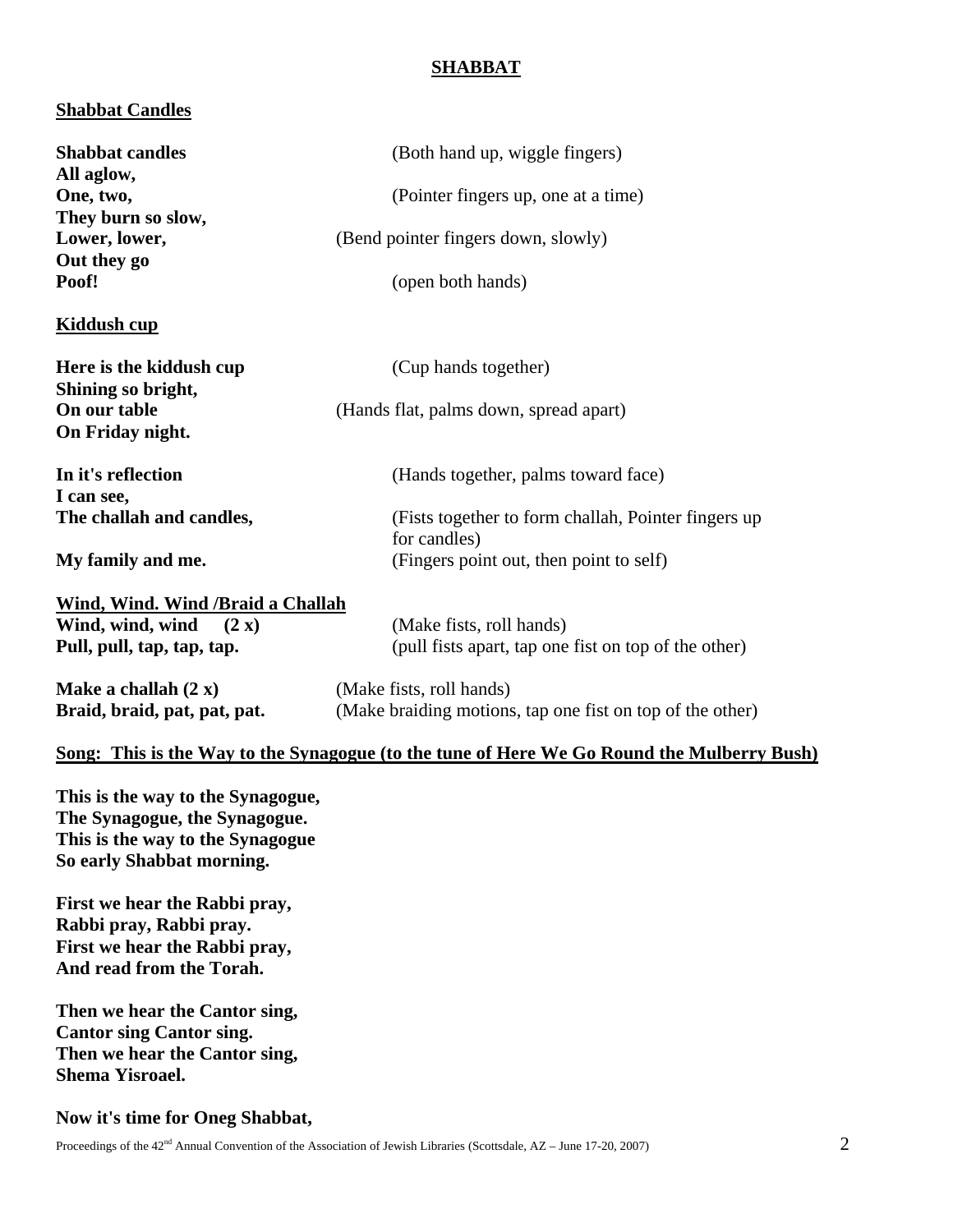# **SHABBAT**

## **Shabbat Candles**

| <b>Shabbat candles</b>                                             | (Both hand up, wiggle fingers)                                                             |  |
|--------------------------------------------------------------------|--------------------------------------------------------------------------------------------|--|
| All aglow,                                                         |                                                                                            |  |
| One, two,                                                          | (Pointer fingers up, one at a time)                                                        |  |
| They burn so slow,                                                 |                                                                                            |  |
| Lower, lower,                                                      | (Bend pointer fingers down, slowly)                                                        |  |
| Out they go                                                        |                                                                                            |  |
| Poof!                                                              | (open both hands)                                                                          |  |
| <b>Kiddush cup</b>                                                 |                                                                                            |  |
| Here is the kiddush cup<br>Shining so bright,                      | (Cup hands together)                                                                       |  |
| On our table                                                       | (Hands flat, palms down, spread apart)                                                     |  |
| On Friday night.                                                   |                                                                                            |  |
|                                                                    |                                                                                            |  |
| In it's reflection                                                 | (Hands together, palms toward face)                                                        |  |
| I can see,                                                         |                                                                                            |  |
| The challah and candles,                                           | (Fists together to form challah, Pointer fingers up                                        |  |
|                                                                    | for candles)                                                                               |  |
| My family and me.                                                  | (Fingers point out, then point to self)                                                    |  |
| Wind, Wind. Wind / Braid a Challah                                 |                                                                                            |  |
| Wind, wind, wind<br>(2 x)                                          | (Make fists, roll hands)                                                                   |  |
| Pull, pull, tap, tap, tap.                                         | (pull fists apart, tap one fist on top of the other)                                       |  |
| Make a challah $(2 x)$                                             | (Make fists, roll hands)                                                                   |  |
| Braid, braid, pat, pat, pat.                                       | (Make braiding motions, tap one fist on top of the other)                                  |  |
|                                                                    | Song: This is the Way to the Synagogue (to the tune of Here We Go Round the Mulberry Bush) |  |
| This is the way to the Synagogue,<br>The Synagogue, the Synagogue. |                                                                                            |  |

**The Synagogue, the Synagogue. This is the way to the Synagogue So early Shabbat morning.** 

**First we hear the Rabbi pray, Rabbi pray, Rabbi pray. First we hear the Rabbi pray, And read from the Torah.** 

**Then we hear the Cantor sing, Cantor sing Cantor sing. Then we hear the Cantor sing, Shema Yisroael.** 

#### **Now it's time for Oneg Shabbat,**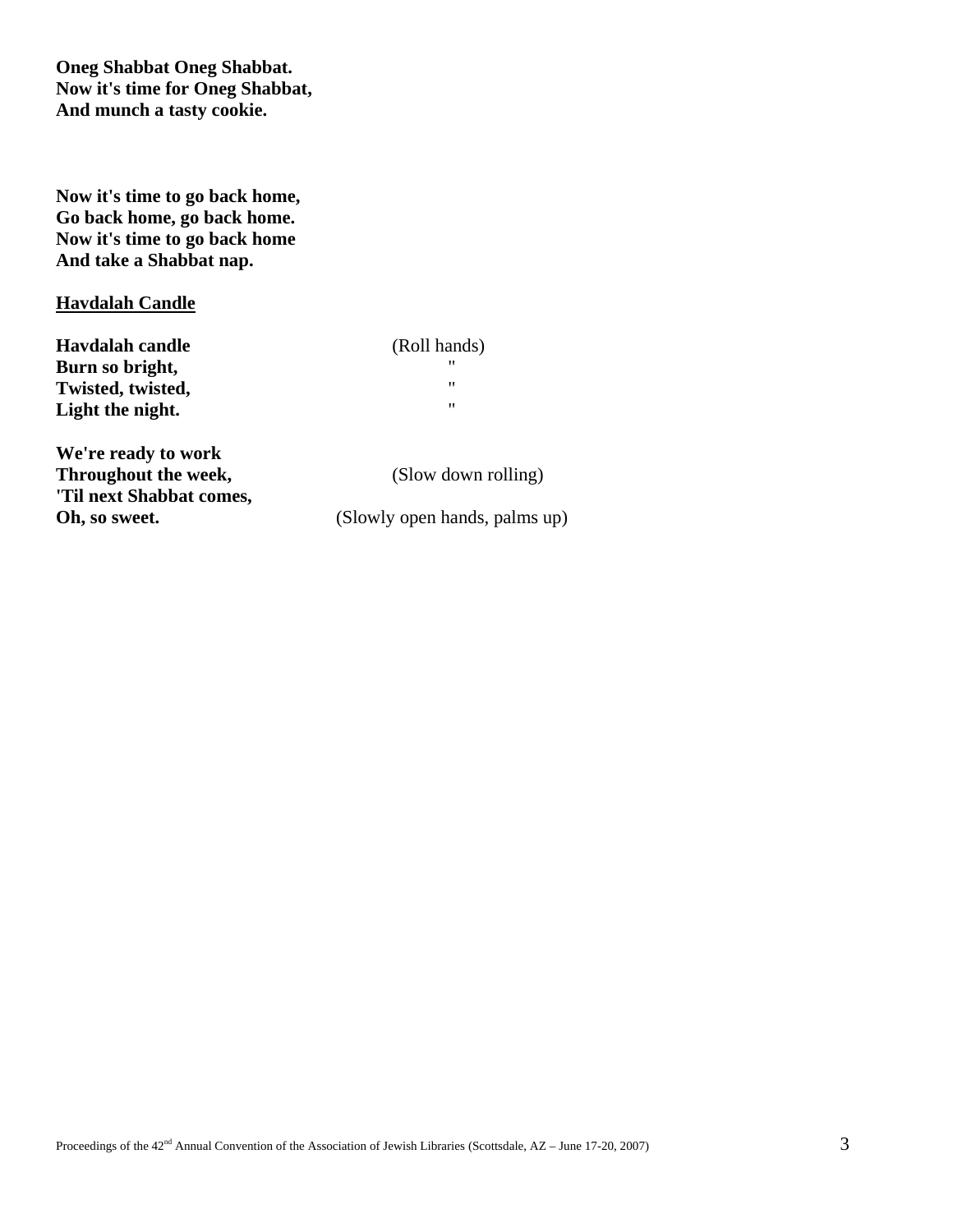**Oneg Shabbat Oneg Shabbat. Now it's time for Oneg Shabbat, And munch a tasty cookie.** 

**Now it's time to go back home, Go back home, go back home. Now it's time to go back home And take a Shabbat nap.** 

# **Havdalah Candle**

| Havdalah candle   | (Roll hands) |
|-------------------|--------------|
| Burn so bright,   | "            |
| Twisted, twisted, | "            |
| Light the night.  | "            |
|                   |              |

**We're ready to work Throughout the week,** (Slow down rolling) **'Til next Shabbat comes, Oh, so sweet.** (Slowly open hands, palms up)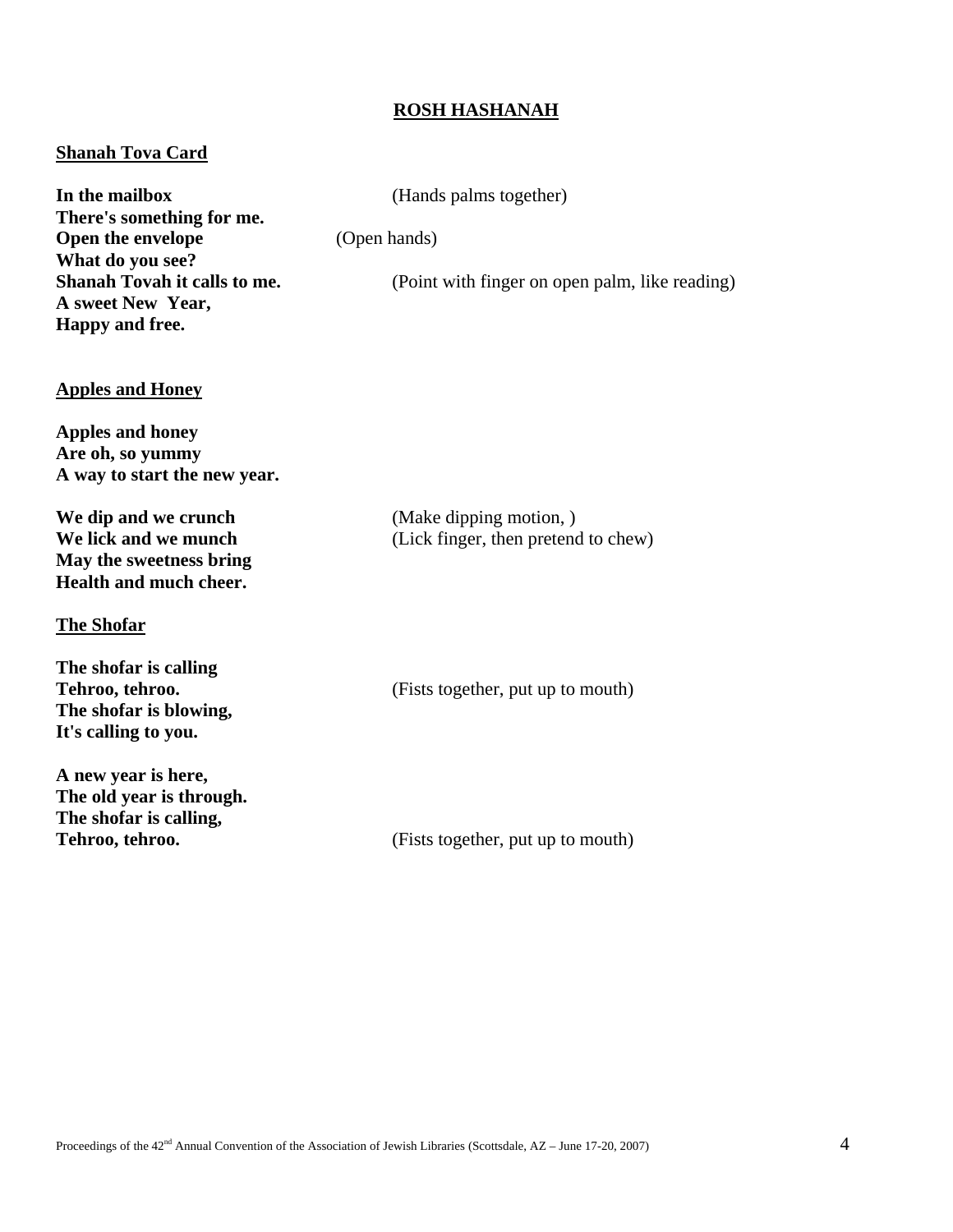## **ROSH HASHANAH**

#### **Shanah Tova Card**

**In the mailbox** (Hands palms together) **There's something for me. Open the envelope** (Open hands) **What do you see? A sweet New Year, Happy and free.** 

**Shanah Tovah it calls to me.** (Point with finger on open palm, like reading)

#### **Apples and Honey**

**Apples and honey Are oh, so yummy A way to start the new year.** 

**We dip and we crunch** (Make dipping motion, ) **May the sweetness bring Health and much cheer.** 

#### **The Shofar**

**The shofar is calling The shofar is blowing, It's calling to you.** 

**A new year is here, The old year is through. The shofar is calling,** 

**We lick and we munch** (Lick finger, then pretend to chew)

**Tehroo, tehroo.** (Fists together, put up to mouth)

**Tehroo, tehroo.** (Fists together, put up to mouth)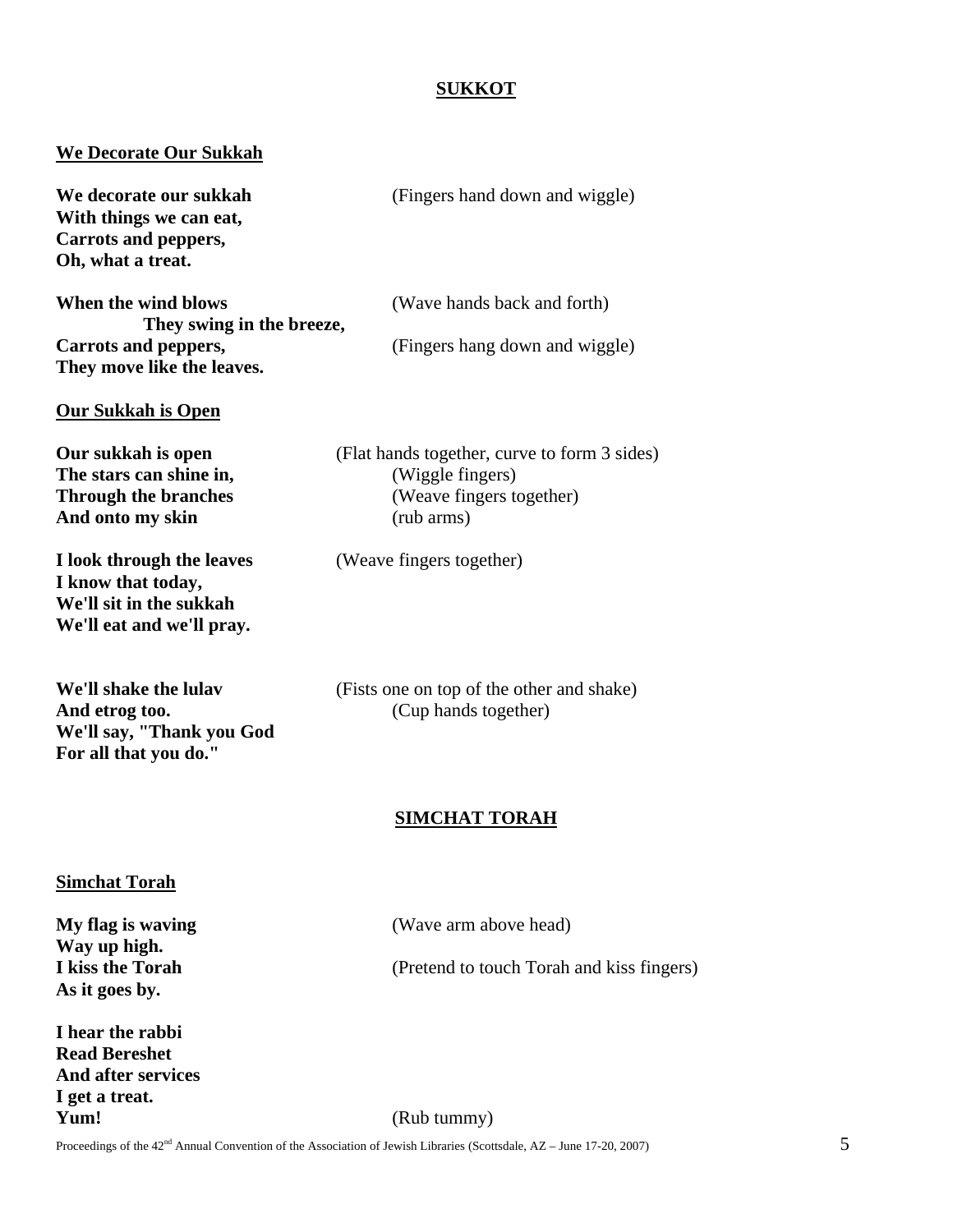# **SUKKOT**

# **We Decorate Our Sukkah**

| We decorate our sukkah<br>With things we can eat,<br>Carrots and peppers,<br>Oh, what a treat.          | (Fingers hand down and wiggle)                                                                                                                  |   |
|---------------------------------------------------------------------------------------------------------|-------------------------------------------------------------------------------------------------------------------------------------------------|---|
| When the wind blows<br>They swing in the breeze,                                                        | (Wave hands back and forth)                                                                                                                     |   |
| Carrots and peppers,<br>They move like the leaves.                                                      | (Fingers hang down and wiggle)                                                                                                                  |   |
| <b>Our Sukkah is Open</b>                                                                               |                                                                                                                                                 |   |
| Our sukkah is open<br>The stars can shine in,<br><b>Through the branches</b><br>And onto my skin        | (Flat hands together, curve to form 3 sides)<br>(Wiggle fingers)<br>(Weave fingers together)<br>(rub arms)                                      |   |
| I look through the leaves<br>I know that today,<br>We'll sit in the sukkah<br>We'll eat and we'll pray. | (Weave fingers together)                                                                                                                        |   |
| We'll shake the lulav<br>And etrog too.<br>We'll say, "Thank you God<br>For all that you do."           | (Fists one on top of the other and shake)<br>(Cup hands together)                                                                               |   |
|                                                                                                         | <b>SIMCHAT TORAH</b>                                                                                                                            |   |
| <b>Simchat Torah</b>                                                                                    |                                                                                                                                                 |   |
| My flag is waving<br>Way up high.                                                                       | (Wave arm above head)                                                                                                                           |   |
| I kiss the Torah<br>As it goes by.                                                                      | (Pretend to touch Torah and kiss fingers)                                                                                                       |   |
| I hear the rabbi<br><b>Read Bereshet</b><br>And after services<br>I get a treat.                        |                                                                                                                                                 |   |
| Yum!                                                                                                    | (Rub tummy)<br>Proceedings of the 42 <sup>nd</sup> Annual Convention of the Association of Jewish Libraries (Scottsdale, AZ - June 17-20, 2007) | 5 |
|                                                                                                         |                                                                                                                                                 |   |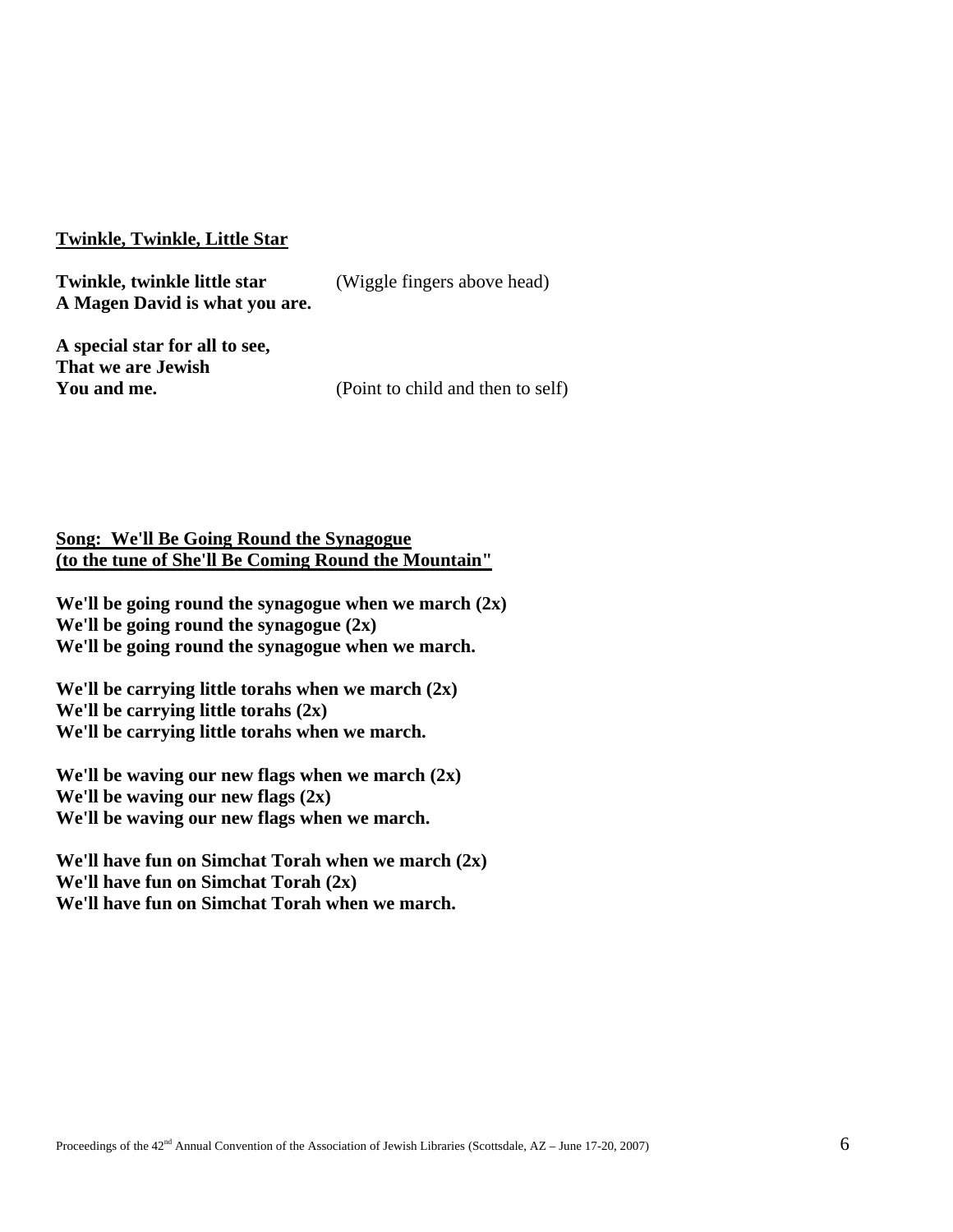## **Twinkle, Twinkle, Little Star**

**Twinkle, twinkle little star** (Wiggle fingers above head) **A Magen David is what you are.** 

**A special star for all to see, That we are Jewish** 

**You and me.** (Point to child and then to self)

## **Song: We'll Be Going Round the Synagogue (to the tune of She'll Be Coming Round the Mountain"**

**We'll be going round the synagogue when we march (2x) We'll be going round the synagogue (2x) We'll be going round the synagogue when we march.** 

**We'll be carrying little torahs when we march (2x) We'll be carrying little torahs (2x) We'll be carrying little torahs when we march.** 

**We'll be waving our new flags when we march (2x) We'll be waving our new flags (2x) We'll be waving our new flags when we march.** 

**We'll have fun on Simchat Torah when we march (2x) We'll have fun on Simchat Torah (2x) We'll have fun on Simchat Torah when we march.**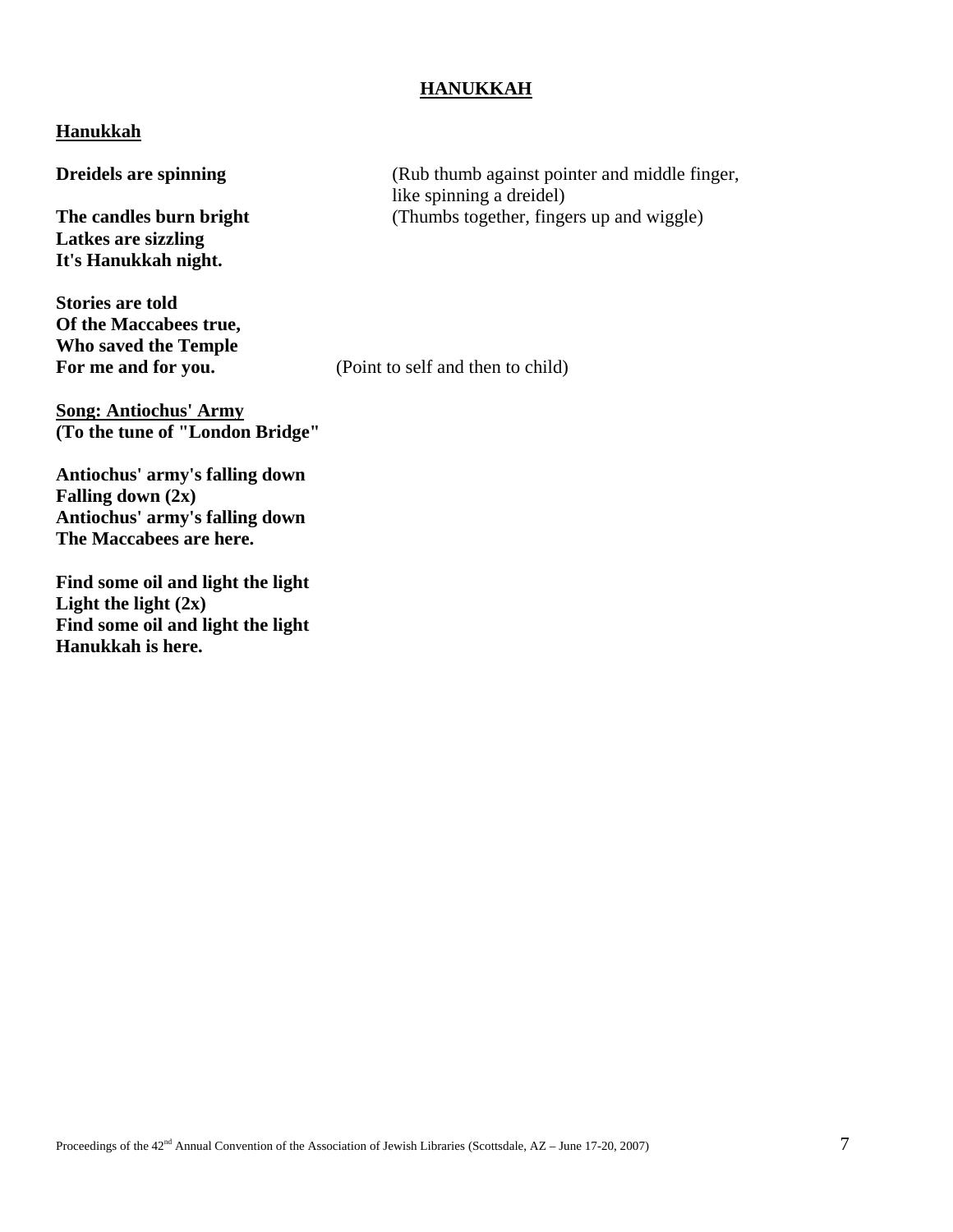## **HANUKKAH**

## **Hanukkah**

**Latkes are sizzling It's Hanukkah night.** 

**Stories are told Of the Maccabees true, Who saved the Temple** 

**Song: Antiochus' Army (To the tune of "London Bridge"** 

**Antiochus' army's falling down Falling down (2x) Antiochus' army's falling down The Maccabees are here.** 

**Find some oil and light the light Light the light (2x) Find some oil and light the light Hanukkah is here.** 

**Dreidels are spinning** (Rub thumb against pointer and middle finger, like spinning a dreidel) **The candles burn bright** (Thumbs together, fingers up and wiggle)

For me and for you. (Point to self and then to child)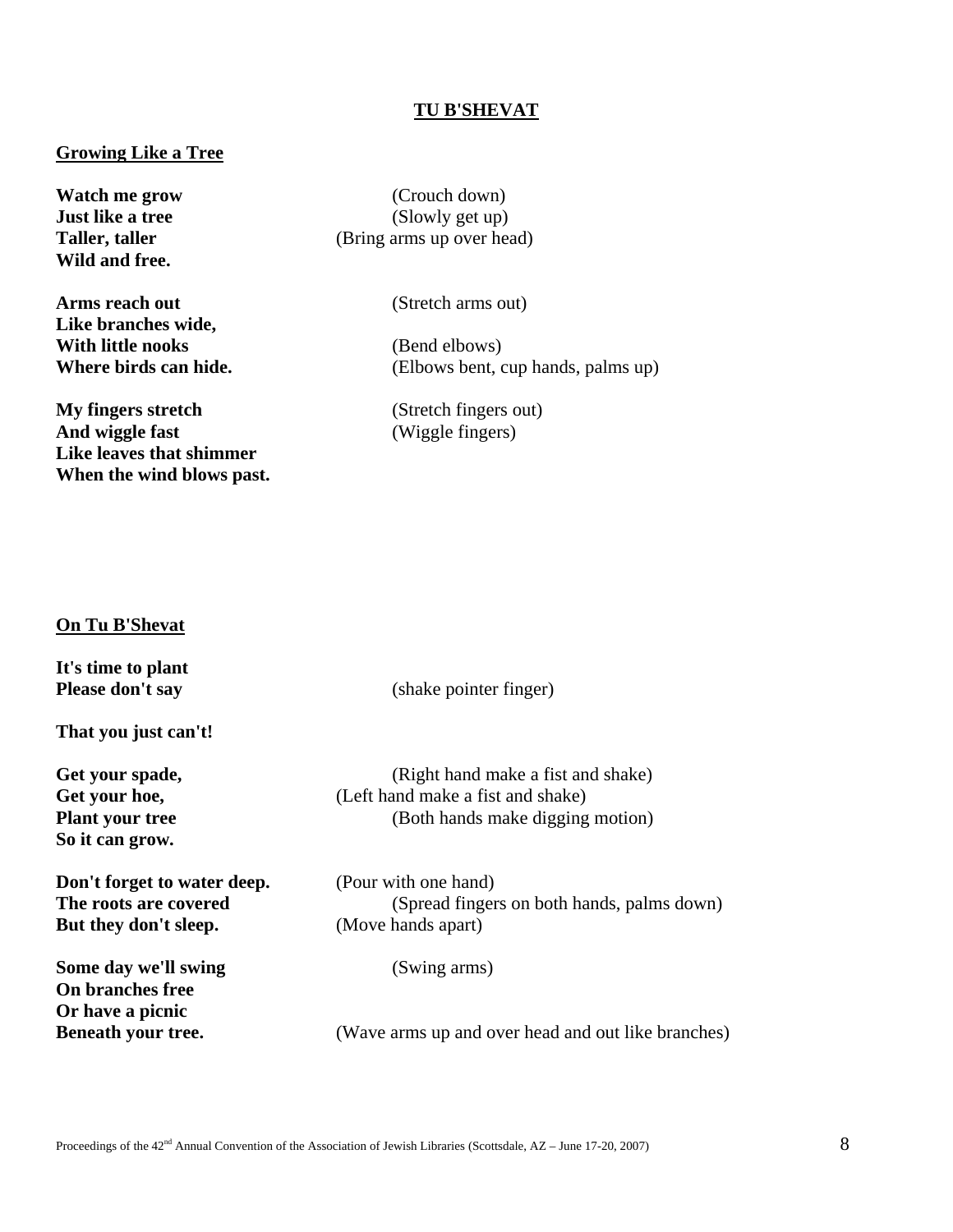#### **TU B'SHEVAT**

## **Growing Like a Tree**

**Wild and free.** 

**Arms reach out** (Stretch arms out) **Like branches wide, With little nooks** (Bend elbows)

**My fingers stretch** (Stretch fingers out)<br> **And wiggle fast** (Wiggle fingers) **Like leaves that shimmer When the wind blows past.** 

**Watch me grow** (Crouch down)<br> **Just like a tree** (Slowly get up) (Slowly get up) **Taller, taller** (Bring arms up over head)

**Where birds can hide.** (Elbows bent, cup hands, palms up)

**And wiggle fast** (Wiggle fingers)

## **On Tu B'Shevat**

| It's time to plant                                                |                                                    |
|-------------------------------------------------------------------|----------------------------------------------------|
| Please don't say                                                  | (shake pointer finger)                             |
| That you just can't!                                              |                                                    |
| Get your spade,                                                   | (Right hand make a fist and shake)                 |
| Get your hoe,                                                     | (Left hand make a fist and shake)                  |
| <b>Plant your tree</b>                                            | (Both hands make digging motion)                   |
| So it can grow.                                                   |                                                    |
| Don't forget to water deep.                                       | (Pour with one hand)                               |
| The roots are covered                                             | (Spread fingers on both hands, palms down)         |
| But they don't sleep.                                             | (Move hands apart)                                 |
| Some day we'll swing                                              | (Swing arms)                                       |
| <b>On branches free</b><br>Or have a picnic<br>Beneath your tree. | (Wave arms up and over head and out like branches) |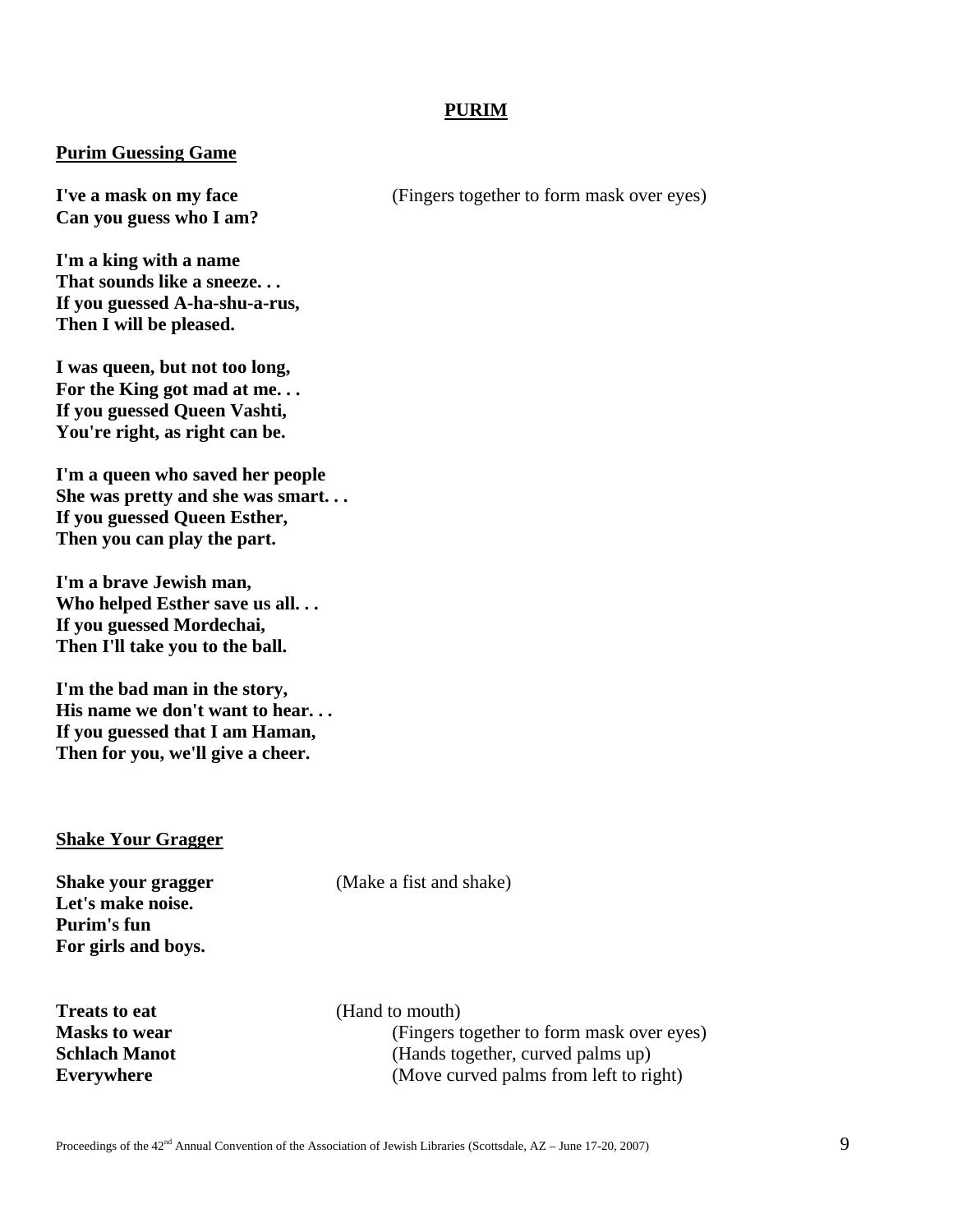# **PURIM**

#### **Purim Guessing Game**

**Can you guess who I am?** 

**I'm a king with a name That sounds like a sneeze. . . If you guessed A-ha-shu-a-rus, Then I will be pleased.** 

**I was queen, but not too long, For the King got mad at me. . . If you guessed Queen Vashti, You're right, as right can be.** 

**I'm a queen who saved her people She was pretty and she was smart. . . If you guessed Queen Esther, Then you can play the part.** 

**I'm a brave Jewish man, Who helped Esther save us all. . . If you guessed Mordechai, Then I'll take you to the ball.** 

**I'm the bad man in the story, His name we don't want to hear. . . If you guessed that I am Haman, Then for you, we'll give a cheer.** 

#### **Shake Your Gragger**

**Let's make noise. Purim's fun For girls and boys.** 

**Treats to eat** (Hand to mouth)

**Shake your gragger** (Make a fist and shake)

**Masks to wear** (Fingers together to form mask over eyes) **Schlach Manot** (Hands together, curved palms up) **Everywhere** (Move curved palms from left to right)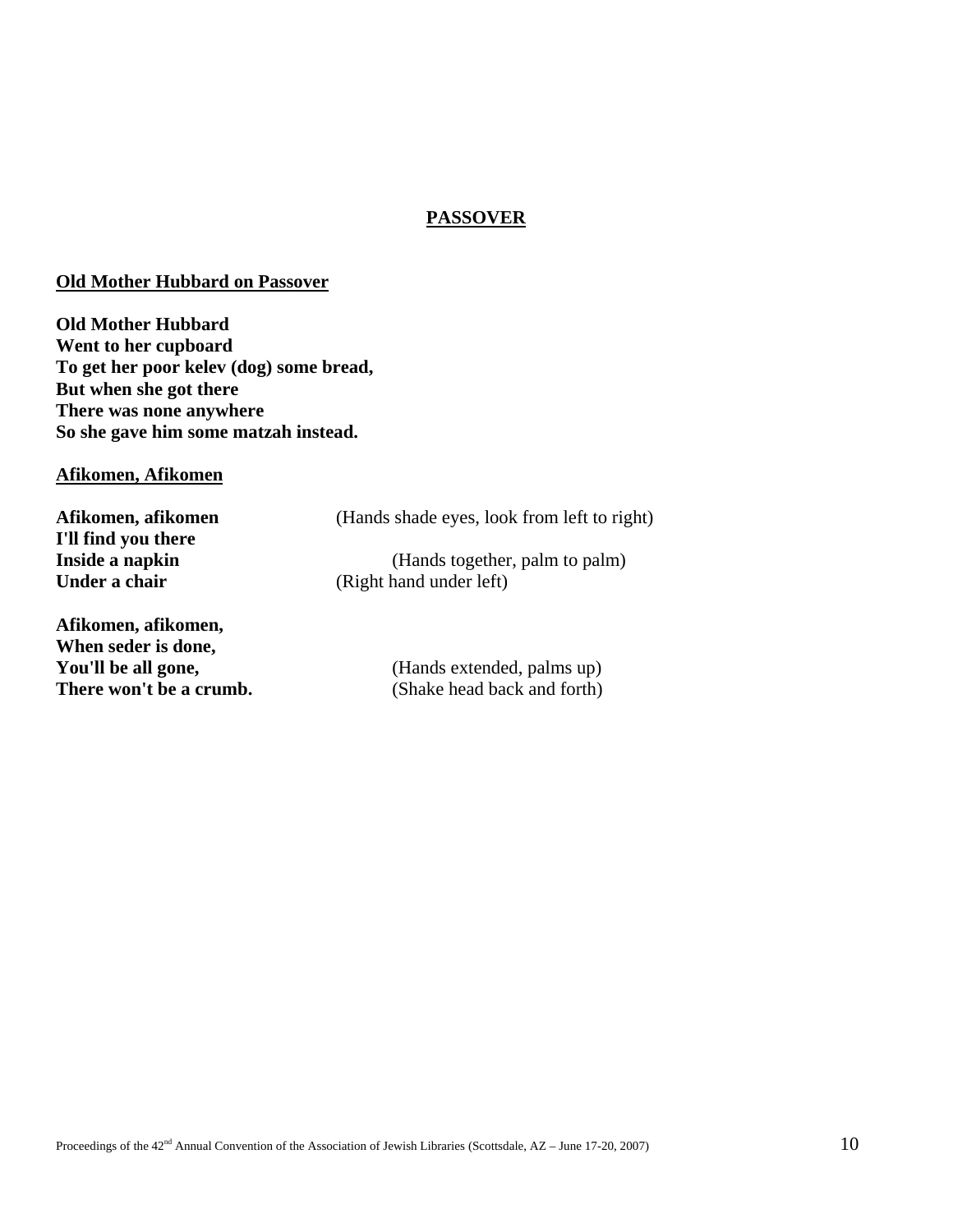# **PASSOVER**

#### **Old Mother Hubbard on Passover**

**Old Mother Hubbard Went to her cupboard To get her poor kelev (dog) some bread, But when she got there There was none anywhere So she gave him some matzah instead.** 

# **Afikomen, Afikomen**

Afikomen, afikomen *(Hands shade eyes, look from left to right)* **I'll find you there Inside a napkin** (Hands together, palm to palm) **Under a chair** (Right hand under left) **Afikomen, afikomen, When seder is done, You'll be all gone,** (Hands extended, palms up)

**There won't be a crumb.** (Shake head back and forth)

Proceedings of the  $42<sup>nd</sup>$  Annual Convention of the Association of Jewish Libraries (Scottsdale, AZ – June 17-20, 2007)  $10$